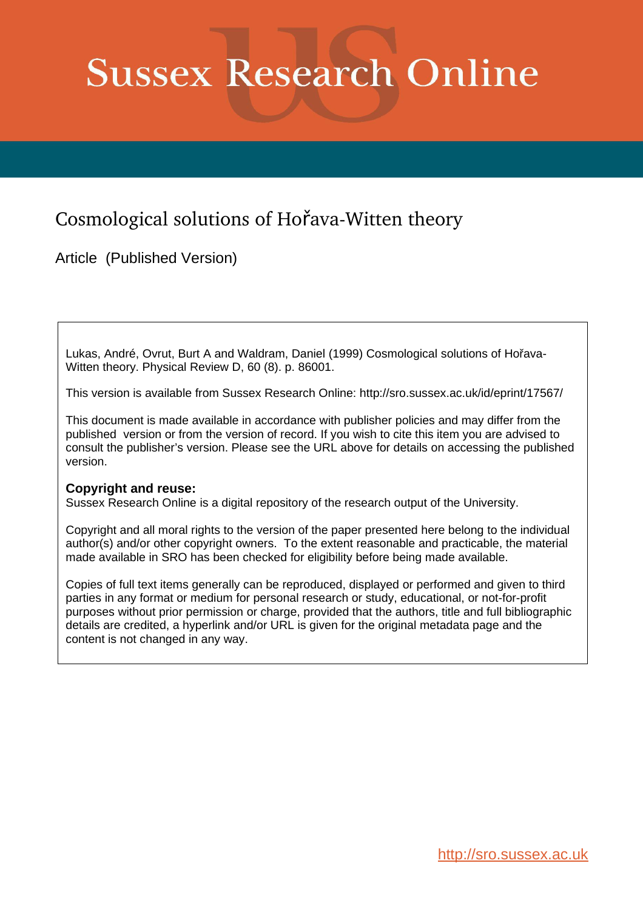# **Sussex Research Online**

# Cosmological solutions of Horava-Witten theory

Article (Published Version)

Lukas, André, Ovrut, Burt A and Waldram, Daniel (1999) Cosmological solutions of Hořava-Witten theory. Physical Review D, 60 (8). p. 86001.

This version is available from Sussex Research Online: http://sro.sussex.ac.uk/id/eprint/17567/

This document is made available in accordance with publisher policies and may differ from the published version or from the version of record. If you wish to cite this item you are advised to consult the publisher's version. Please see the URL above for details on accessing the published version.

## **Copyright and reuse:**

Sussex Research Online is a digital repository of the research output of the University.

Copyright and all moral rights to the version of the paper presented here belong to the individual author(s) and/or other copyright owners. To the extent reasonable and practicable, the material made available in SRO has been checked for eligibility before being made available.

Copies of full text items generally can be reproduced, displayed or performed and given to third parties in any format or medium for personal research or study, educational, or not-for-profit purposes without prior permission or charge, provided that the authors, title and full bibliographic details are credited, a hyperlink and/or URL is given for the original metadata page and the content is not changed in any way.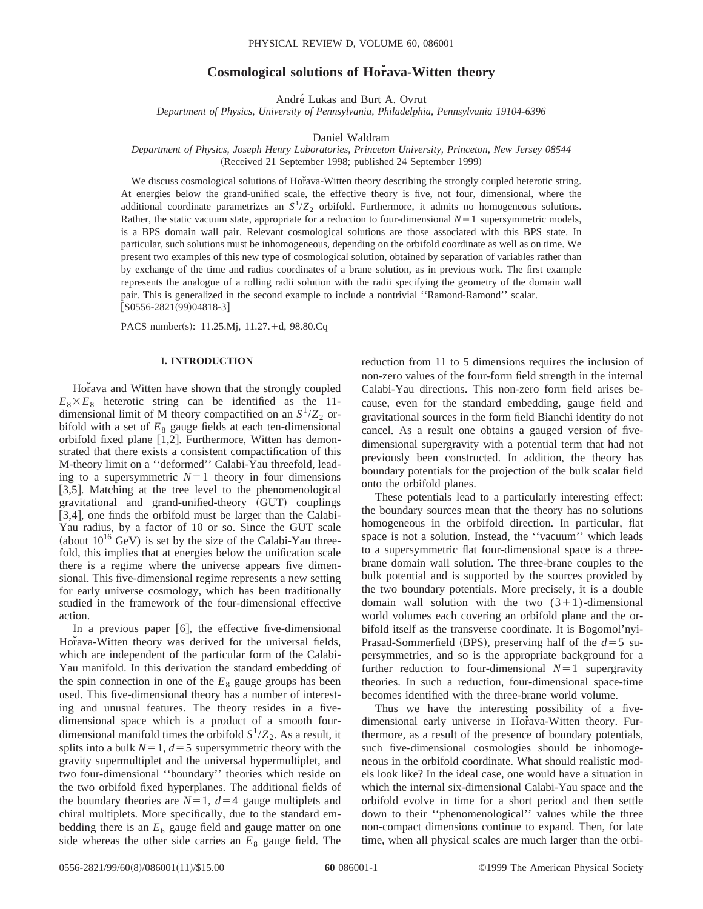### Cosmological solutions of Horava-Witten theory

André Lukas and Burt A. Ovrut

*Department of Physics, University of Pennsylvania, Philadelphia, Pennsylvania 19104-6396*

Daniel Waldram

*Department of Physics, Joseph Henry Laboratories, Princeton University, Princeton, New Jersey 08544* (Received 21 September 1998; published 24 September 1999)

We discuss cosmological solutions of Hořava-Witten theory describing the strongly coupled heterotic string. At energies below the grand-unified scale, the effective theory is five, not four, dimensional, where the additional coordinate parametrizes an  $S^1/Z_2$  orbifold. Furthermore, it admits no homogeneous solutions. Rather, the static vacuum state, appropriate for a reduction to four-dimensional  $N=1$  supersymmetric models, is a BPS domain wall pair. Relevant cosmological solutions are those associated with this BPS state. In particular, such solutions must be inhomogeneous, depending on the orbifold coordinate as well as on time. We present two examples of this new type of cosmological solution, obtained by separation of variables rather than by exchange of the time and radius coordinates of a brane solution, as in previous work. The first example represents the analogue of a rolling radii solution with the radii specifying the geometry of the domain wall pair. This is generalized in the second example to include a nontrivial ''Ramond-Ramond'' scalar.  $[$ S0556-2821(99)04818-3]

PACS number(s): 11.25.Mj, 11.27.+d, 98.80.Cq

#### **I. INTRODUCTION**

Horava and Witten have shown that the strongly coupled  $E_8 \times E_8$  heterotic string can be identified as the 11dimensional limit of M theory compactified on an  $S^1/Z_2$  orbifold with a set of  $E_8$  gauge fields at each ten-dimensional orbifold fixed plane  $[1,2]$ . Furthermore, Witten has demonstrated that there exists a consistent compactification of this M-theory limit on a ''deformed'' Calabi-Yau threefold, leading to a supersymmetric  $N=1$  theory in four dimensions [3,5]. Matching at the tree level to the phenomenological gravitational and grand-unified-theory (GUT) couplings  $[3,4]$ , one finds the orbifold must be larger than the Calabi-Yau radius, by a factor of 10 or so. Since the GUT scale (about  $10^{16}$  GeV) is set by the size of the Calabi-Yau threefold, this implies that at energies below the unification scale there is a regime where the universe appears five dimensional. This five-dimensional regime represents a new setting for early universe cosmology, which has been traditionally studied in the framework of the four-dimensional effective action.

In a previous paper  $[6]$ , the effective five-dimensional Hořava-Witten theory was derived for the universal fields, which are independent of the particular form of the Calabi-Yau manifold. In this derivation the standard embedding of the spin connection in one of the  $E_8$  gauge groups has been used. This five-dimensional theory has a number of interesting and unusual features. The theory resides in a fivedimensional space which is a product of a smooth fourdimensional manifold times the orbifold  $S^1/Z_2$ . As a result, it splits into a bulk  $N=1$ ,  $d=5$  supersymmetric theory with the gravity supermultiplet and the universal hypermultiplet, and two four-dimensional ''boundary'' theories which reside on the two orbifold fixed hyperplanes. The additional fields of the boundary theories are  $N=1$ ,  $d=4$  gauge multiplets and chiral multiplets. More specifically, due to the standard embedding there is an  $E_6$  gauge field and gauge matter on one side whereas the other side carries an  $E_8$  gauge field. The

reduction from 11 to 5 dimensions requires the inclusion of non-zero values of the four-form field strength in the internal Calabi-Yau directions. This non-zero form field arises because, even for the standard embedding, gauge field and gravitational sources in the form field Bianchi identity do not cancel. As a result one obtains a gauged version of fivedimensional supergravity with a potential term that had not previously been constructed. In addition, the theory has boundary potentials for the projection of the bulk scalar field onto the orbifold planes.

These potentials lead to a particularly interesting effect: the boundary sources mean that the theory has no solutions homogeneous in the orbifold direction. In particular, flat space is not a solution. Instead, the ''vacuum'' which leads to a supersymmetric flat four-dimensional space is a threebrane domain wall solution. The three-brane couples to the bulk potential and is supported by the sources provided by the two boundary potentials. More precisely, it is a double domain wall solution with the two  $(3+1)$ -dimensional world volumes each covering an orbifold plane and the orbifold itself as the transverse coordinate. It is Bogomol'nyi-Prasad-Sommerfield (BPS), preserving half of the  $d=5$  supersymmetries, and so is the appropriate background for a further reduction to four-dimensional  $N=1$  supergravity theories. In such a reduction, four-dimensional space-time becomes identified with the three-brane world volume.

Thus we have the interesting possibility of a fivedimensional early universe in Horava-Witten theory. Furthermore, as a result of the presence of boundary potentials, such five-dimensional cosmologies should be inhomogeneous in the orbifold coordinate. What should realistic models look like? In the ideal case, one would have a situation in which the internal six-dimensional Calabi-Yau space and the orbifold evolve in time for a short period and then settle down to their ''phenomenological'' values while the three non-compact dimensions continue to expand. Then, for late time, when all physical scales are much larger than the orbi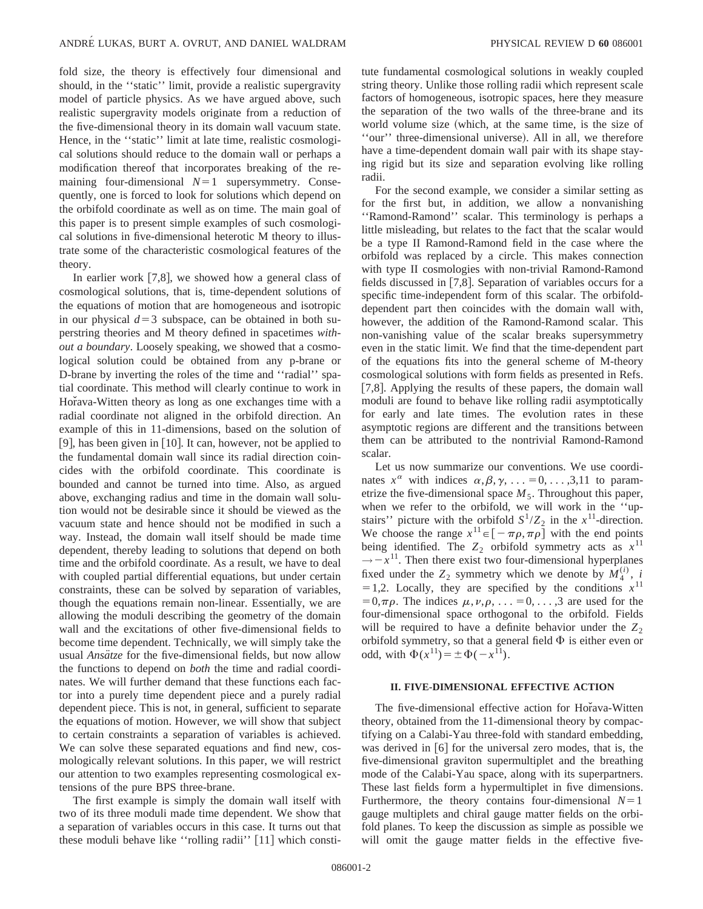fold size, the theory is effectively four dimensional and should, in the ''static'' limit, provide a realistic supergravity model of particle physics. As we have argued above, such realistic supergravity models originate from a reduction of the five-dimensional theory in its domain wall vacuum state. Hence, in the ''static'' limit at late time, realistic cosmological solutions should reduce to the domain wall or perhaps a modification thereof that incorporates breaking of the remaining four-dimensional  $N=1$  supersymmetry. Consequently, one is forced to look for solutions which depend on the orbifold coordinate as well as on time. The main goal of this paper is to present simple examples of such cosmological solutions in five-dimensional heterotic M theory to illustrate some of the characteristic cosmological features of the theory.

In earlier work  $[7,8]$ , we showed how a general class of cosmological solutions, that is, time-dependent solutions of the equations of motion that are homogeneous and isotropic in our physical  $d=3$  subspace, can be obtained in both superstring theories and M theory defined in spacetimes *without a boundary*. Loosely speaking, we showed that a cosmological solution could be obtained from any p-brane or D-brane by inverting the roles of the time and ''radial'' spatial coordinate. This method will clearly continue to work in Horava-Witten theory as long as one exchanges time with a radial coordinate not aligned in the orbifold direction. An example of this in 11-dimensions, based on the solution of [9], has been given in [10]. It can, however, not be applied to the fundamental domain wall since its radial direction coincides with the orbifold coordinate. This coordinate is bounded and cannot be turned into time. Also, as argued above, exchanging radius and time in the domain wall solution would not be desirable since it should be viewed as the vacuum state and hence should not be modified in such a way. Instead, the domain wall itself should be made time dependent, thereby leading to solutions that depend on both time and the orbifold coordinate. As a result, we have to deal with coupled partial differential equations, but under certain constraints, these can be solved by separation of variables, though the equations remain non-linear. Essentially, we are allowing the moduli describing the geometry of the domain wall and the excitations of other five-dimensional fields to become time dependent. Technically, we will simply take the usual *Ansätze* for the five-dimensional fields, but now allow the functions to depend on *both* the time and radial coordinates. We will further demand that these functions each factor into a purely time dependent piece and a purely radial dependent piece. This is not, in general, sufficient to separate the equations of motion. However, we will show that subject to certain constraints a separation of variables is achieved. We can solve these separated equations and find new, cosmologically relevant solutions. In this paper, we will restrict our attention to two examples representing cosmological extensions of the pure BPS three-brane.

The first example is simply the domain wall itself with two of its three moduli made time dependent. We show that a separation of variables occurs in this case. It turns out that these moduli behave like "rolling radii"  $[11]$  which constitute fundamental cosmological solutions in weakly coupled string theory. Unlike those rolling radii which represent scale factors of homogeneous, isotropic spaces, here they measure the separation of the two walls of the three-brane and its world volume size (which, at the same time, is the size of "our" three-dimensional universe). All in all, we therefore have a time-dependent domain wall pair with its shape staying rigid but its size and separation evolving like rolling radii.

For the second example, we consider a similar setting as for the first but, in addition, we allow a nonvanishing ''Ramond-Ramond'' scalar. This terminology is perhaps a little misleading, but relates to the fact that the scalar would be a type II Ramond-Ramond field in the case where the orbifold was replaced by a circle. This makes connection with type II cosmologies with non-trivial Ramond-Ramond fields discussed in  $[7,8]$ . Separation of variables occurs for a specific time-independent form of this scalar. The orbifolddependent part then coincides with the domain wall with, however, the addition of the Ramond-Ramond scalar. This non-vanishing value of the scalar breaks supersymmetry even in the static limit. We find that the time-dependent part of the equations fits into the general scheme of M-theory cosmological solutions with form fields as presented in Refs. [7,8]. Applying the results of these papers, the domain wall moduli are found to behave like rolling radii asymptotically for early and late times. The evolution rates in these asymptotic regions are different and the transitions between them can be attributed to the nontrivial Ramond-Ramond scalar.

Let us now summarize our conventions. We use coordinates  $x^{\alpha}$  with indices  $\alpha, \beta, \gamma, \ldots = 0, \ldots, 3, 11$  to parametrize the five-dimensional space  $M_5$ . Throughout this paper, when we refer to the orbifold, we will work in the ''upstairs'' picture with the orbifold  $S^1/Z_2$  in the  $x^{11}$ -direction. We choose the range  $x^{11} \in [-\pi \rho, \pi \rho]$  with the end points being identified. The  $Z_2$  orbifold symmetry acts as  $x^{11}$  $\rightarrow -x^{11}$ . Then there exist two four-dimensional hyperplanes fixed under the  $Z_2$  symmetry which we denote by  $M_4^{(i)}$ , *i* = 1,2. Locally, they are specified by the conditions  $x^{11}$  $=0,\pi\rho$ . The indices  $\mu,\nu,\rho,\ldots =0,\ldots,3$  are used for the four-dimensional space orthogonal to the orbifold. Fields will be required to have a definite behavior under the  $Z_2$ orbifold symmetry, so that a general field  $\Phi$  is either even or odd, with  $\Phi(x^{11}) = \pm \Phi(-x^{11})$ .

#### **II. FIVE-DIMENSIONAL EFFECTIVE ACTION**

The five-dimensional effective action for Horava-Witten theory, obtained from the 11-dimensional theory by compactifying on a Calabi-Yau three-fold with standard embedding, was derived in  $\lceil 6 \rceil$  for the universal zero modes, that is, the five-dimensional graviton supermultiplet and the breathing mode of the Calabi-Yau space, along with its superpartners. These last fields form a hypermultiplet in five dimensions. Furthermore, the theory contains four-dimensional  $N=1$ gauge multiplets and chiral gauge matter fields on the orbifold planes. To keep the discussion as simple as possible we will omit the gauge matter fields in the effective five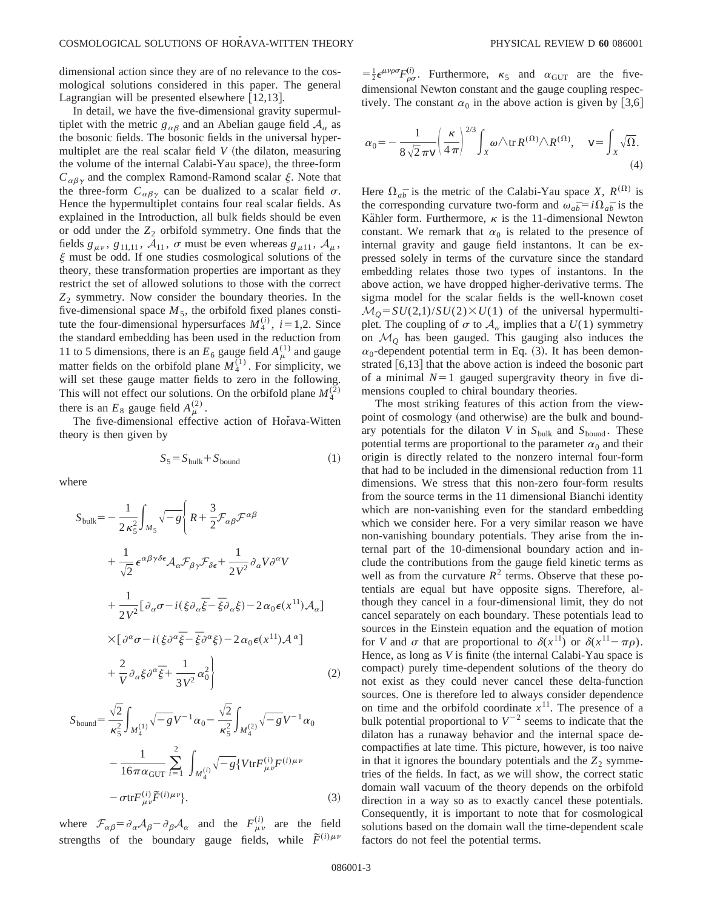dimensional action since they are of no relevance to the cosmological solutions considered in this paper. The general Lagrangian will be presented elsewhere  $[12,13]$ .

In detail, we have the five-dimensional gravity supermultiplet with the metric  $g_{\alpha\beta}$  and an Abelian gauge field  $A_{\alpha}$  as the bosonic fields. The bosonic fields in the universal hypermultiplet are the real scalar field  $V$  (the dilaton, measuring the volume of the internal Calabi-Yau space), the three-form  $C_{\alpha\beta\gamma}$  and the complex Ramond-Ramond scalar  $\xi$ . Note that the three-form  $C_{\alpha\beta\gamma}$  can be dualized to a scalar field  $\sigma$ . Hence the hypermultiplet contains four real scalar fields. As explained in the Introduction, all bulk fields should be even or odd under the  $Z_2$  orbifold symmetry. One finds that the fields  $g_{\mu\nu}$ ,  $g_{11,11}$ ,  $A_{11}$ ,  $\sigma$  must be even whereas  $g_{\mu 11}$ ,  $A_{\mu}$ ,  $\xi$  must be odd. If one studies cosmological solutions of the theory, these transformation properties are important as they restrict the set of allowed solutions to those with the correct *Z*<sup>2</sup> symmetry. Now consider the boundary theories. In the five-dimensional space  $M_5$ , the orbifold fixed planes constitute the four-dimensional hypersurfaces  $M_4^{(i)}$ ,  $i = 1,2$ . Since the standard embedding has been used in the reduction from 11 to 5 dimensions, there is an  $E_6$  gauge field  $A_{\mu}^{(1)}$  and gauge matter fields on the orbifold plane  $M_4^{(1)}$ . For simplicity, we will set these gauge matter fields to zero in the following. This will not effect our solutions. On the orbifold plane  $M_4^{(2)}$ there is an  $E_8$  gauge field  $A_{\mu}^{(2)}$ .

The five-dimensional effective action of Horava-Witten theory is then given by

$$
S_5 = S_{\text{bulk}} + S_{\text{bound}} \tag{1}
$$

where

$$
S_{\text{bulk}} = -\frac{1}{2\kappa_5^2} \int_{M_5} \sqrt{-g} \left\{ R + \frac{3}{2} \mathcal{F}_{\alpha\beta} \mathcal{F}^{\alpha\beta} \right\}
$$
  
+  $\frac{1}{\sqrt{2}} \epsilon^{\alpha\beta\gamma\delta\epsilon} A_{\alpha} \mathcal{F}_{\beta\gamma} \mathcal{F}_{\delta\epsilon} + \frac{1}{2V^2} \partial_{\alpha} V \partial^{\alpha} V$   
+  $\frac{1}{2V^2} [\partial_{\alpha} \sigma - i(\xi \partial_{\alpha} \overline{\xi} - \overline{\xi} \partial_{\alpha} \xi) - 2 \alpha_0 \epsilon(x^{11}) A_{\alpha}]$   
 $\times [\partial^{\alpha} \sigma - i(\xi \partial^{\alpha} \overline{\xi} - \overline{\xi} \partial^{\alpha} \xi) - 2 \alpha_0 \epsilon(x^{11}) A^{\alpha}]$   
+  $\frac{2}{V} \partial_{\alpha} \xi \partial^{\alpha} \overline{\xi} + \frac{1}{3V^2} \alpha_0^2$  (2)  
 $S_{\text{bound}} = \frac{\sqrt{2}}{r^2} \int_{M^{(1)}} \sqrt{-g} V^{-1} \alpha_0 - \frac{\sqrt{2}}{r^2} \int_{M^{(2)}} \sqrt{-g} V^{-1} \alpha_0$ 

$$
V_{\text{bound}} = \frac{\sqrt{2}}{\kappa_5^2} \int_{M_4^{(1)}} \sqrt{-g} V^{-1} \alpha_0 - \frac{\sqrt{2}}{\kappa_5^2} \int_{M_4^{(2)}} \sqrt{-g} V^{-1} \alpha_0
$$
  
 
$$
- \frac{1}{16\pi \alpha_{\text{GUT}}} \sum_{i=1}^2 \int_{M_4^{(i)}} \sqrt{-g} \{ V \text{tr} F_{\mu\nu}^{(i)} F^{(i)\mu\nu} - \sigma \text{tr} F_{\mu\nu}^{(i)} \widetilde{F}^{(i)\mu\nu} \}.
$$
 (3)

where  $\mathcal{F}_{\alpha\beta} = \partial_{\alpha}A_{\beta} - \partial_{\beta}A_{\alpha}$  and the  $F_{\mu\nu}^{(i)}$  are the field strengths of the boundary gauge fields, while  $\tilde{F}^{(i)\mu\nu}$ 

 $=\frac{1}{2}\epsilon^{\mu\nu\rho\sigma}F^{(i)}_{\rho\sigma}$ . Furthermore,  $\kappa_5$  and  $\alpha_{\text{GUT}}$  are the fivedimensional Newton constant and the gauge coupling respectively. The constant  $\alpha_0$  in the above action is given by [3,6]

$$
\alpha_0 = -\frac{1}{8\sqrt{2}\pi v} \left(\frac{\kappa}{4\pi}\right)^{2/3} \int_X \omega \wedge \text{tr } R^{(\Omega)} \wedge R^{(\Omega)}, \quad v = \int_X \sqrt{\Omega}.
$$
\n(4)

Here  $\Omega_{a\bar{b}}$  is the metric of the Calabi-Yau space *X*,  $R^{(\Omega)}$  is the corresponding curvature two-form and  $\omega_{a\bar{b}} = i\Omega_{a\bar{b}}$  is the Kähler form. Furthermore,  $\kappa$  is the 11-dimensional Newton constant. We remark that  $\alpha_0$  is related to the presence of internal gravity and gauge field instantons. It can be expressed solely in terms of the curvature since the standard embedding relates those two types of instantons. In the above action, we have dropped higher-derivative terms. The sigma model for the scalar fields is the well-known coset  $\mathcal{M}_0 = SU(2,1)/SU(2) \times U(1)$  of the universal hypermultiplet. The coupling of  $\sigma$  to  $A_{\alpha}$  implies that a  $U(1)$  symmetry on  $\mathcal{M}_0$  has been gauged. This gauging also induces the  $\alpha_0$ -dependent potential term in Eq. (3). It has been demonstrated  $\lceil 6,13 \rceil$  that the above action is indeed the bosonic part of a minimal  $N=1$  gauged supergravity theory in five dimensions coupled to chiral boundary theories.

The most striking features of this action from the viewpoint of cosmology (and otherwise) are the bulk and boundary potentials for the dilaton *V* in  $S_{\text{bulk}}$  and  $S_{\text{bound}}$ . These potential terms are proportional to the parameter  $\alpha_0$  and their origin is directly related to the nonzero internal four-form that had to be included in the dimensional reduction from 11 dimensions. We stress that this non-zero four-form results from the source terms in the 11 dimensional Bianchi identity which are non-vanishing even for the standard embedding which we consider here. For a very similar reason we have non-vanishing boundary potentials. They arise from the internal part of the 10-dimensional boundary action and include the contributions from the gauge field kinetic terms as well as from the curvature  $R^2$  terms. Observe that these potentials are equal but have opposite signs. Therefore, although they cancel in a four-dimensional limit, they do not cancel separately on each boundary. These potentials lead to sources in the Einstein equation and the equation of motion for *V* and  $\sigma$  that are proportional to  $\delta(x^{11})$  or  $\delta(x^{11}-\pi\rho)$ . Hence, as long as  $V$  is finite (the internal Calabi-Yau space is compact) purely time-dependent solutions of the theory do not exist as they could never cancel these delta-function sources. One is therefore led to always consider dependence on time and the orbifold coordinate  $x<sup>11</sup>$ . The presence of a bulk potential proportional to  $V^{-2}$  seems to indicate that the dilaton has a runaway behavior and the internal space decompactifies at late time. This picture, however, is too naive in that it ignores the boundary potentials and the  $Z_2$  symmetries of the fields. In fact, as we will show, the correct static domain wall vacuum of the theory depends on the orbifold direction in a way so as to exactly cancel these potentials. Consequently, it is important to note that for cosmological solutions based on the domain wall the time-dependent scale factors do not feel the potential terms.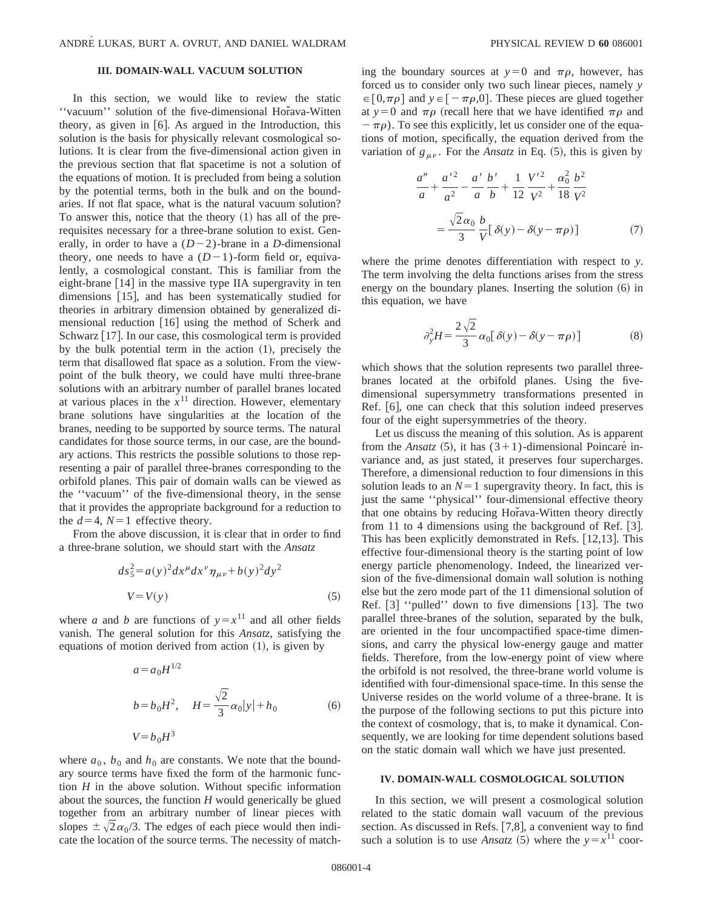#### **III. DOMAIN-WALL VACUUM SOLUTION**

In this section, we would like to review the static "vacuum" solution of the five-dimensional Horava-Witten theory, as given in  $[6]$ . As argued in the Introduction, this solution is the basis for physically relevant cosmological solutions. It is clear from the five-dimensional action given in the previous section that flat spacetime is not a solution of the equations of motion. It is precluded from being a solution by the potential terms, both in the bulk and on the boundaries. If not flat space, what is the natural vacuum solution? To answer this, notice that the theory  $(1)$  has all of the prerequisites necessary for a three-brane solution to exist. Generally, in order to have a  $(D-2)$ -brane in a *D*-dimensional theory, one needs to have a  $(D-1)$ -form field or, equivalently, a cosmological constant. This is familiar from the eight-brane  $[14]$  in the massive type IIA supergravity in ten dimensions  $[15]$ , and has been systematically studied for theories in arbitrary dimension obtained by generalized dimensional reduction  $[16]$  using the method of Scherk and Schwarz [17]. In our case, this cosmological term is provided by the bulk potential term in the action  $(1)$ , precisely the term that disallowed flat space as a solution. From the viewpoint of the bulk theory, we could have multi three-brane solutions with an arbitrary number of parallel branes located at various places in the  $x<sup>11</sup>$  direction. However, elementary brane solutions have singularities at the location of the branes, needing to be supported by source terms. The natural candidates for those source terms, in our case, are the boundary actions. This restricts the possible solutions to those representing a pair of parallel three-branes corresponding to the orbifold planes. This pair of domain walls can be viewed as the ''vacuum'' of the five-dimensional theory, in the sense that it provides the appropriate background for a reduction to the  $d=4$ ,  $N=1$  effective theory.

From the above discussion, it is clear that in order to find a three-brane solution, we should start with the *Ansatz*

$$
ds_5^2 = a(y)^2 dx^{\mu} dx^{\nu} \eta_{\mu\nu} + b(y)^2 dy^2
$$
  

$$
V = V(y)
$$
 (5)

where *a* and *b* are functions of  $y=x^{11}$  and all other fields vanish. The general solution for this *Ansatz*, satisfying the equations of motion derived from action  $(1)$ , is given by

$$
a = a_0 H^{1/2}
$$
  
\n
$$
b = b_0 H^2, \quad H = \frac{\sqrt{2}}{3} \alpha_0 |y| + h_0
$$
 (6)  
\n
$$
V = b_0 H^3
$$

where  $a_0$ ,  $b_0$  and  $h_0$  are constants. We note that the boundary source terms have fixed the form of the harmonic function *H* in the above solution. Without specific information about the sources, the function *H* would generically be glued together from an arbitrary number of linear pieces with slopes  $\pm \sqrt{2} \alpha_0/3$ . The edges of each piece would then indicate the location of the source terms. The necessity of matching the boundary sources at  $y=0$  and  $\pi \rho$ , however, has forced us to consider only two such linear pieces, namely *y*  $\in [0,\pi\rho]$  and  $y \in [-\pi\rho,0]$ . These pieces are glued together at *y*=0 and  $\pi \rho$  (recall here that we have identified  $\pi \rho$  and  $-\pi\rho$ ). To see this explicitly, let us consider one of the equations of motion, specifically, the equation derived from the variation of  $g_{\mu\nu}$ . For the *Ansatz* in Eq. (5), this is given by

$$
\frac{a''}{a} + \frac{a'^2}{a^2} - \frac{a'}{a} \frac{b'}{b} + \frac{1}{12} \frac{V'^2}{V^2} + \frac{\alpha_0^2}{18} \frac{b^2}{V^2}
$$

$$
= \frac{\sqrt{2} \alpha_0}{3} \frac{b}{V} [\delta(y) - \delta(y - \pi \rho)] \tag{7}
$$

where the prime denotes differentiation with respect to *y*. The term involving the delta functions arises from the stress energy on the boundary planes. Inserting the solution  $(6)$  in this equation, we have

$$
\partial_y^2 H = \frac{2\sqrt{2}}{3} \alpha_0 [\delta(y) - \delta(y - \pi \rho)] \tag{8}
$$

which shows that the solution represents two parallel threebranes located at the orbifold planes. Using the fivedimensional supersymmetry transformations presented in Ref.  $[6]$ , one can check that this solution indeed preserves four of the eight supersymmetries of the theory.

Let us discuss the meaning of this solution. As is apparent from the *Ansatz*  $(5)$ , it has  $(3+1)$ -dimensional Poincaré invariance and, as just stated, it preserves four supercharges. Therefore, a dimensional reduction to four dimensions in this solution leads to an  $N=1$  supergravity theory. In fact, this is just the same ''physical'' four-dimensional effective theory that one obtains by reducing Hor̃ava-Witten theory directly from 11 to 4 dimensions using the background of Ref.  $[3]$ . This has been explicitly demonstrated in Refs.  $[12,13]$ . This effective four-dimensional theory is the starting point of low energy particle phenomenology. Indeed, the linearized version of the five-dimensional domain wall solution is nothing else but the zero mode part of the 11 dimensional solution of Ref.  $[3]$  "pulled" down to five dimensions  $[13]$ . The two parallel three-branes of the solution, separated by the bulk, are oriented in the four uncompactified space-time dimensions, and carry the physical low-energy gauge and matter fields. Therefore, from the low-energy point of view where the orbifold is not resolved, the three-brane world volume is identified with four-dimensional space-time. In this sense the Universe resides on the world volume of a three-brane. It is the purpose of the following sections to put this picture into the context of cosmology, that is, to make it dynamical. Consequently, we are looking for time dependent solutions based on the static domain wall which we have just presented.

#### **IV. DOMAIN-WALL COSMOLOGICAL SOLUTION**

In this section, we will present a cosmological solution related to the static domain wall vacuum of the previous section. As discussed in Refs.  $[7,8]$ , a convenient way to find such a solution is to use *Ansatz* (5) where the  $y = x^{11}$  coor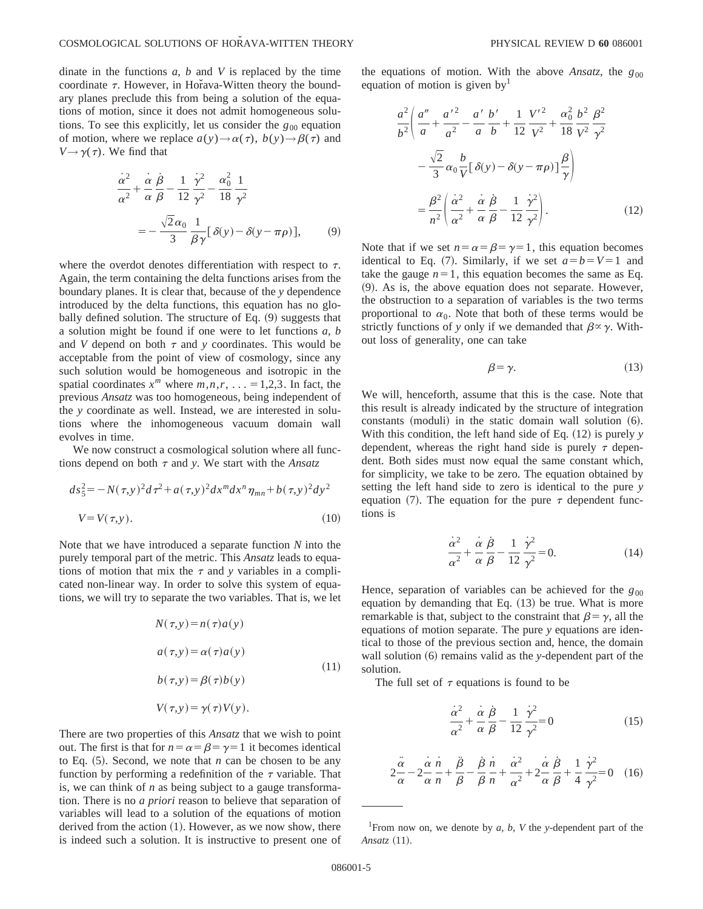dinate in the functions *a*, *b* and *V* is replaced by the time coordinate  $\tau$ . However, in Hor̃ava-Witten theory the boundary planes preclude this from being a solution of the equations of motion, since it does not admit homogeneous solutions. To see this explicitly, let us consider the  $g_{00}$  equation of motion, where we replace  $a(y) \rightarrow \alpha(\tau)$ ,  $b(y) \rightarrow \beta(\tau)$  and  $V \rightarrow \gamma(\tau)$ . We find that

$$
\frac{\dot{\alpha}^2}{\alpha^2} + \frac{\dot{\alpha}}{\alpha} \frac{\dot{\beta}}{\beta} - \frac{1}{12} \frac{\dot{\gamma}^2}{\gamma^2} - \frac{\alpha_0^2}{18} \frac{1}{\gamma^2}
$$

$$
= -\frac{\sqrt{2} \alpha_0}{3} \frac{1}{\beta \gamma} [\delta(y) - \delta(y - \pi \rho)], \qquad (9)
$$

where the overdot denotes differentiation with respect to  $\tau$ . Again, the term containing the delta functions arises from the boundary planes. It is clear that, because of the *y* dependence introduced by the delta functions, this equation has no globally defined solution. The structure of Eq.  $(9)$  suggests that a solution might be found if one were to let functions *a*, *b* and *V* depend on both  $\tau$  and *y* coordinates. This would be acceptable from the point of view of cosmology, since any such solution would be homogeneous and isotropic in the spatial coordinates  $x^m$  where  $m, n, r, \ldots = 1,2,3$ . In fact, the previous *Ansatz* was too homogeneous, being independent of the *y* coordinate as well. Instead, we are interested in solutions where the inhomogeneous vacuum domain wall evolves in time.

We now construct a cosmological solution where all functions depend on both  $\tau$  and *y*. We start with the *Ansatz* 

$$
ds_5^2 = -N(\tau, y)^2 d\tau^2 + a(\tau, y)^2 dx^m dx^n \eta_{mn} + b(\tau, y)^2 dy^2
$$
  
\n
$$
V = V(\tau, y). \tag{10}
$$

Note that we have introduced a separate function *N* into the purely temporal part of the metric. This *Ansatz* leads to equations of motion that mix the  $\tau$  and *y* variables in a complicated non-linear way. In order to solve this system of equations, we will try to separate the two variables. That is, we let

$$
N(\tau, y) = n(\tau)a(y)
$$
  
\n
$$
a(\tau, y) = \alpha(\tau)a(y)
$$
  
\n
$$
b(\tau, y) = \beta(\tau)b(y)
$$
  
\n
$$
V(\tau, y) = \gamma(\tau)V(y).
$$
\n(11)

There are two properties of this *Ansatz* that we wish to point out. The first is that for  $n = \alpha = \beta = \gamma = 1$  it becomes identical to Eq.  $(5)$ . Second, we note that *n* can be chosen to be any function by performing a redefinition of the  $\tau$  variable. That is, we can think of *n* as being subject to a gauge transformation. There is no *a priori* reason to believe that separation of variables will lead to a solution of the equations of motion derived from the action  $(1)$ . However, as we now show, there is indeed such a solution. It is instructive to present one of the equations of motion. With the above *Ansatz*, the *g*<sub>00</sub> equation of motion is given by<sup>1</sup>

$$
\frac{a^2}{b^2} \left( \frac{a''}{a} + \frac{a'^2}{a^2} - \frac{a'}{a} \frac{b'}{b} + \frac{1}{12} \frac{V'^2}{V^2} + \frac{\alpha_0^2}{18} \frac{b^2}{V^2} \frac{\beta^2}{\gamma^2} - \frac{\sqrt{2}}{3} \alpha_0 \frac{b}{V} [\delta(y) - \delta(y - \pi \rho)] \frac{\beta}{\gamma} \right)
$$

$$
= \frac{\beta^2}{n^2} \left( \frac{\dot{\alpha}^2}{\alpha^2} + \frac{\dot{\alpha}}{\alpha} \frac{\dot{\beta}}{\beta} - \frac{1}{12} \frac{\dot{\gamma}^2}{\gamma^2} \right). \tag{12}
$$

Note that if we set  $n = \alpha = \beta = \gamma = 1$ , this equation becomes identical to Eq. (7). Similarly, if we set  $a=b=V=1$  and take the gauge  $n=1$ , this equation becomes the same as Eq.  $(9)$ . As is, the above equation does not separate. However, the obstruction to a separation of variables is the two terms proportional to  $\alpha_0$ . Note that both of these terms would be strictly functions of *y* only if we demanded that  $\beta \propto \gamma$ . Without loss of generality, one can take

$$
\beta = \gamma. \tag{13}
$$

We will, henceforth, assume that this is the case. Note that this result is already indicated by the structure of integration  $constants$  (moduli) in the static domain wall solution  $(6)$ . With this condition, the left hand side of Eq. (12) is purely *y* dependent, whereas the right hand side is purely  $\tau$  dependent. Both sides must now equal the same constant which, for simplicity, we take to be zero. The equation obtained by setting the left hand side to zero is identical to the pure *y* equation (7). The equation for the pure  $\tau$  dependent functions is

$$
\frac{\dot{\alpha}^2}{\alpha^2} + \frac{\dot{\alpha}}{\alpha} \frac{\dot{\beta}}{\beta} - \frac{1}{12} \frac{\dot{\gamma}^2}{\gamma^2} = 0.
$$
 (14)

Hence, separation of variables can be achieved for the  $g_{00}$ equation by demanding that Eq.  $(13)$  be true. What is more remarkable is that, subject to the constraint that  $\beta = \gamma$ , all the equations of motion separate. The pure *y* equations are identical to those of the previous section and, hence, the domain wall solution (6) remains valid as the *y*-dependent part of the solution.

The full set of  $\tau$  equations is found to be

$$
\frac{\dot{\alpha}^2}{\alpha^2} + \frac{\dot{\alpha}}{\alpha} \frac{\dot{\beta}}{\beta} - \frac{1}{12} \frac{\dot{\gamma}^2}{\gamma^2} = 0
$$
 (15)

$$
2\frac{\overset{\cdot}{\alpha}}{\alpha} - 2\frac{\overset{\cdot}{\alpha}}{\alpha} \frac{\overset{\cdot}{n}}{n} + \frac{\overset{\cdot}{\beta}}{\beta} - \frac{\overset{\cdot}{\beta}}{\beta} \frac{\overset{\cdot}{n}}{n} + \frac{\overset{\cdot}{\alpha}^{2}}{\alpha^{2}} + 2\frac{\overset{\cdot}{\alpha}}{\alpha} \frac{\overset{\cdot}{\beta}}{\beta} + \frac{1}{4} \frac{\overset{\cdot}{\gamma}^{2}}{\gamma^{2}} = 0 \quad (16)
$$

<sup>&</sup>lt;sup>1</sup>From now on, we denote by  $a, b, V$  the *y*-dependent part of the *Ansatz* (11).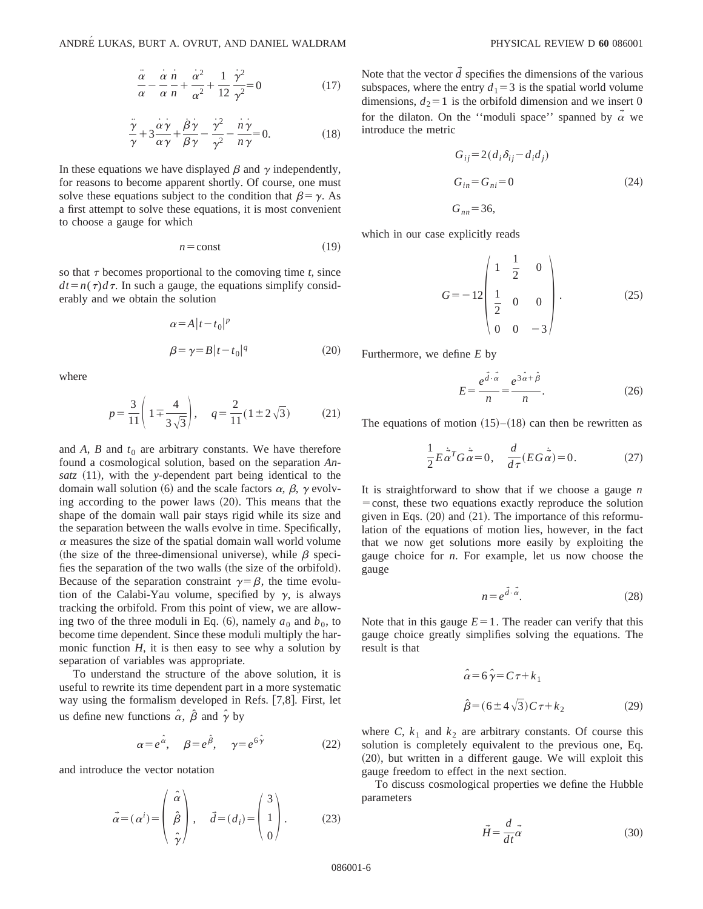$$
\frac{\ddot{a}}{\alpha} - \frac{\dot{\alpha}}{\alpha} \frac{\dot{n}}{n} + \frac{\dot{\alpha}^2}{\alpha^2} + \frac{1}{12} \frac{\dot{\gamma}^2}{\gamma^2} = 0 \tag{17}
$$

$$
\frac{\ddot{\gamma}}{\gamma} + 3\frac{\dot{\alpha}\dot{\gamma}}{\alpha\gamma} + \frac{\dot{\beta}\dot{\gamma}}{\beta\gamma} - \frac{\dot{\gamma}^2}{\gamma^2} - \frac{\dot{n}\dot{\gamma}}{n\gamma} = 0.
$$
 (18)

In these equations we have displayed  $\beta$  and  $\gamma$  independently, for reasons to become apparent shortly. Of course, one must solve these equations subject to the condition that  $\beta = \gamma$ . As a first attempt to solve these equations, it is most convenient to choose a gauge for which

$$
n = \text{const} \tag{19}
$$

so that  $\tau$  becomes proportional to the comoving time  $t$ , since  $dt = n(\tau) d\tau$ . In such a gauge, the equations simplify considerably and we obtain the solution

$$
\alpha = A |t - t_0|^p
$$
  

$$
\beta = \gamma = B |t - t_0|^q
$$
 (20)

where

$$
p = \frac{3}{11} \left( 1 \mp \frac{4}{3\sqrt{3}} \right), \quad q = \frac{2}{11} (1 \pm 2\sqrt{3}) \tag{21}
$$

and *A*, *B* and  $t_0$  are arbitrary constants. We have therefore found a cosmological solution, based on the separation *Ansatz* (11), with the *y*-dependent part being identical to the domain wall solution (6) and the scale factors  $\alpha$ ,  $\beta$ ,  $\gamma$  evolving according to the power laws  $(20)$ . This means that the shape of the domain wall pair stays rigid while its size and the separation between the walls evolve in time. Specifically,  $\alpha$  measures the size of the spatial domain wall world volume (the size of the three-dimensional universe), while  $\beta$  specifies the separation of the two walls (the size of the orbifold). Because of the separation constraint  $\gamma = \beta$ , the time evolution of the Calabi-Yau volume, specified by  $\gamma$ , is always tracking the orbifold. From this point of view, we are allowing two of the three moduli in Eq.  $(6)$ , namely  $a_0$  and  $b_0$ , to become time dependent. Since these moduli multiply the harmonic function  $H$ , it is then easy to see why a solution by separation of variables was appropriate.

To understand the structure of the above solution, it is useful to rewrite its time dependent part in a more systematic way using the formalism developed in Refs.  $[7,8]$ . First, let us define new functions  $\hat{\alpha}$ ,  $\hat{\beta}$  and  $\hat{\gamma}$  by

$$
\alpha = e^{\hat{\alpha}}, \quad \beta = e^{\hat{\beta}}, \quad \gamma = e^{6\hat{\gamma}} \tag{22}
$$

and introduce the vector notation

$$
\vec{\alpha} = (\alpha^i) = \begin{pmatrix} \hat{\alpha} \\ \hat{\beta} \\ \hat{\gamma} \end{pmatrix}, \quad \vec{d} = (d_i) = \begin{pmatrix} 3 \\ 1 \\ 0 \end{pmatrix}.
$$
 (23)

Note that the vector  $\vec{d}$  specifies the dimensions of the various subspaces, where the entry  $d_1=3$  is the spatial world volume dimensions,  $d_2=1$  is the orbifold dimension and we insert 0 for the dilaton. On the "moduli space" spanned by  $\vec{\alpha}$  we introduce the metric

$$
G_{ij} = 2(d_i \delta_{ij} - d_i d_j)
$$
  
\n
$$
G_{in} = G_{ni} = 0
$$
\n
$$
G_{nn} = 36,
$$
\n(24)

which in our case explicitly reads

$$
G = -12 \begin{pmatrix} 1 & \frac{1}{2} & 0 \\ \frac{1}{2} & 0 & 0 \\ 0 & 0 & -3 \end{pmatrix} .
$$
 (25)

Furthermore, we define *E* by

$$
E = \frac{e^{\vec{d} \cdot \vec{\alpha}}}{n} = \frac{e^{3\hat{\alpha} + \hat{\beta}}}{n}.
$$
 (26)

The equations of motion  $(15)$ – $(18)$  can then be rewritten as

$$
\frac{1}{2}E\dot{\vec{\alpha}}^T G \dot{\vec{\alpha}} = 0, \quad \frac{d}{d\tau} (EG\dot{\vec{\alpha}}) = 0.
$$
 (27)

It is straightforward to show that if we choose a gauge *n*  $=$  const, these two equations exactly reproduce the solution given in Eqs.  $(20)$  and  $(21)$ . The importance of this reformulation of the equations of motion lies, however, in the fact that we now get solutions more easily by exploiting the gauge choice for *n*. For example, let us now choose the gauge

$$
n = e^{\tilde{d} \cdot \tilde{\alpha}}.\tag{28}
$$

Note that in this gauge  $E=1$ . The reader can verify that this gauge choice greatly simplifies solving the equations. The result is that

$$
\hat{\alpha} = 6\,\hat{\gamma} = C\,\tau + k_1
$$
  

$$
\hat{\beta} = (6 \pm 4\sqrt{3})C\,\tau + k_2
$$
 (29)

where *C*,  $k_1$  and  $k_2$  are arbitrary constants. Of course this solution is completely equivalent to the previous one, Eq.  $(20)$ , but written in a different gauge. We will exploit this gauge freedom to effect in the next section.

To discuss cosmological properties we define the Hubble parameters

$$
\vec{H} = \frac{d}{dt}\vec{\alpha} \tag{30}
$$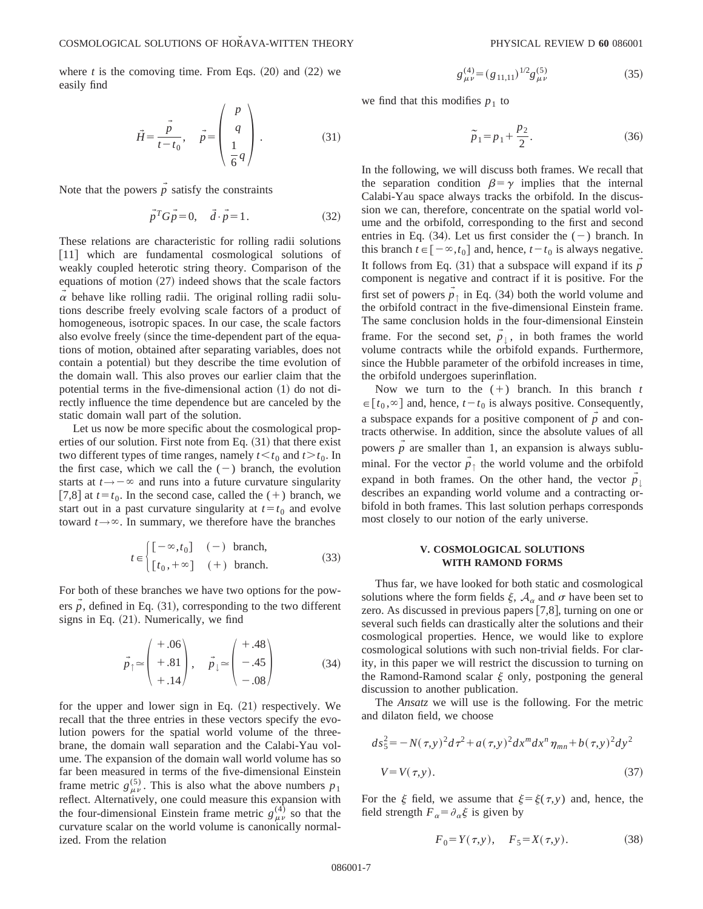where  $t$  is the comoving time. From Eqs.  $(20)$  and  $(22)$  we easily find

$$
\vec{H} = \frac{\vec{p}}{t - t_0}, \quad \vec{p} = \begin{pmatrix} p \\ q \\ \frac{1}{6}q \end{pmatrix}.
$$
 (31)

Note that the powers  $\vec{p}$  satisfy the constraints

$$
\vec{p}^T G \vec{p} = 0, \quad \vec{d} \cdot \vec{p} = 1.
$$
 (32)

These relations are characteristic for rolling radii solutions [11] which are fundamental cosmological solutions of weakly coupled heterotic string theory. Comparison of the equations of motion  $(27)$  indeed shows that the scale factors  $\alpha$  behave like rolling radii. The original rolling radii solutions describe freely evolving scale factors of a product of homogeneous, isotropic spaces. In our case, the scale factors also evolve freely (since the time-dependent part of the equations of motion, obtained after separating variables, does not contain a potential) but they describe the time evolution of the domain wall. This also proves our earlier claim that the potential terms in the five-dimensional action  $(1)$  do not directly influence the time dependence but are canceled by the static domain wall part of the solution.

Let us now be more specific about the cosmological properties of our solution. First note from Eq.  $(31)$  that there exist two different types of time ranges, namely  $t \leq t_0$  and  $t \geq t_0$ . In the first case, which we call the  $(-)$  branch, the evolution starts at  $t \rightarrow -\infty$  and runs into a future curvature singularity [7,8] at  $t = t_0$ . In the second case, called the  $(+)$  branch, we start out in a past curvature singularity at  $t = t_0$  and evolve toward  $t \rightarrow \infty$ . In summary, we therefore have the branches

$$
t \in \begin{cases} [-\infty, t_0] & (-) \text{ branch,} \\ [t_0, +\infty] & (+) \text{ branch.} \end{cases}
$$
 (33)

For both of these branches we have two options for the powers  $\vec{p}$ , defined in Eq. (31), corresponding to the two different signs in Eq.  $(21)$ . Numerically, we find

$$
\vec{p}_{\uparrow} \approx \begin{pmatrix} +.06 \\ +.81 \\ +.14 \end{pmatrix}, \quad \vec{p}_{\downarrow} \approx \begin{pmatrix} +.48 \\ -.45 \\ -.08 \end{pmatrix}
$$
(34)

for the upper and lower sign in Eq.  $(21)$  respectively. We recall that the three entries in these vectors specify the evolution powers for the spatial world volume of the threebrane, the domain wall separation and the Calabi-Yau volume. The expansion of the domain wall world volume has so far been measured in terms of the five-dimensional Einstein frame metric  $g_{\mu\nu}^{(5)}$ . This is also what the above numbers  $p_1$ reflect. Alternatively, one could measure this expansion with the four-dimensional Einstein frame metric  $g_{\mu\nu}^{(4)}$  so that the curvature scalar on the world volume is canonically normalized. From the relation

$$
g_{\mu\nu}^{(4)} = (g_{11,11})^{1/2} g_{\mu\nu}^{(5)} \tag{35}
$$

we find that this modifies  $p_1$  to

$$
\tilde{p}_1 = p_1 + \frac{p_2}{2}.\tag{36}
$$

In the following, we will discuss both frames. We recall that the separation condition  $\beta = \gamma$  implies that the internal Calabi-Yau space always tracks the orbifold. In the discussion we can, therefore, concentrate on the spatial world volume and the orbifold, corresponding to the first and second entries in Eq.  $(34)$ . Let us first consider the  $(-)$  branch. In this branch  $t \in [-\infty, t_0]$  and, hence,  $t - t_0$  is always negative. It follows from Eq.  $(31)$  that a subspace will expand if its *p* component is negative and contract if it is positive. For the first set of powers  $p_{\uparrow}$  in Eq. (34) both the world volume and the orbifold contract in the five-dimensional Einstein frame. The same conclusion holds in the four-dimensional Einstein frame. For the second set,  $\vec{p}_\perp$ , in both frames the world volume contracts while the orbifold expands. Furthermore, since the Hubble parameter of the orbifold increases in time, the orbifold undergoes superinflation.

Now we turn to the  $(+)$  branch. In this branch *t*  $\in$  [ $t_0$ , $\infty$ ] and, hence,  $t-t_0$  is always positive. Consequently, a subspace expands for a positive component of  $\overrightarrow{p}$  and contracts otherwise. In addition, since the absolute values of all powers  $\tilde{p}$  are smaller than 1, an expansion is always subluminal. For the vector  $p_{\uparrow}$  the world volume and the orbifold expand in both frames. On the other hand, the vector  $p_{\perp}$ describes an expanding world volume and a contracting orbifold in both frames. This last solution perhaps corresponds most closely to our notion of the early universe.

#### **V. COSMOLOGICAL SOLUTIONS WITH RAMOND FORMS**

Thus far, we have looked for both static and cosmological solutions where the form fields  $\xi$ ,  $A_{\alpha}$  and  $\sigma$  have been set to zero. As discussed in previous papers  $[7,8]$ , turning on one or several such fields can drastically alter the solutions and their cosmological properties. Hence, we would like to explore cosmological solutions with such non-trivial fields. For clarity, in this paper we will restrict the discussion to turning on the Ramond-Ramond scalar  $\xi$  only, postponing the general discussion to another publication.

The *Ansatz* we will use is the following. For the metric and dilaton field, we choose

$$
ds_5^2 = -N(\tau, y)^2 d\tau^2 + a(\tau, y)^2 dx^m dx^n \eta_{mn} + b(\tau, y)^2 dy^2
$$
  
\n
$$
V = V(\tau, y).
$$
\n(37)

For the  $\xi$  field, we assume that  $\xi = \xi(\tau, y)$  and, hence, the field strength  $F_\alpha = \partial_\alpha \xi$  is given by

$$
F_0 = Y(\tau, y), \quad F_5 = X(\tau, y).
$$
 (38)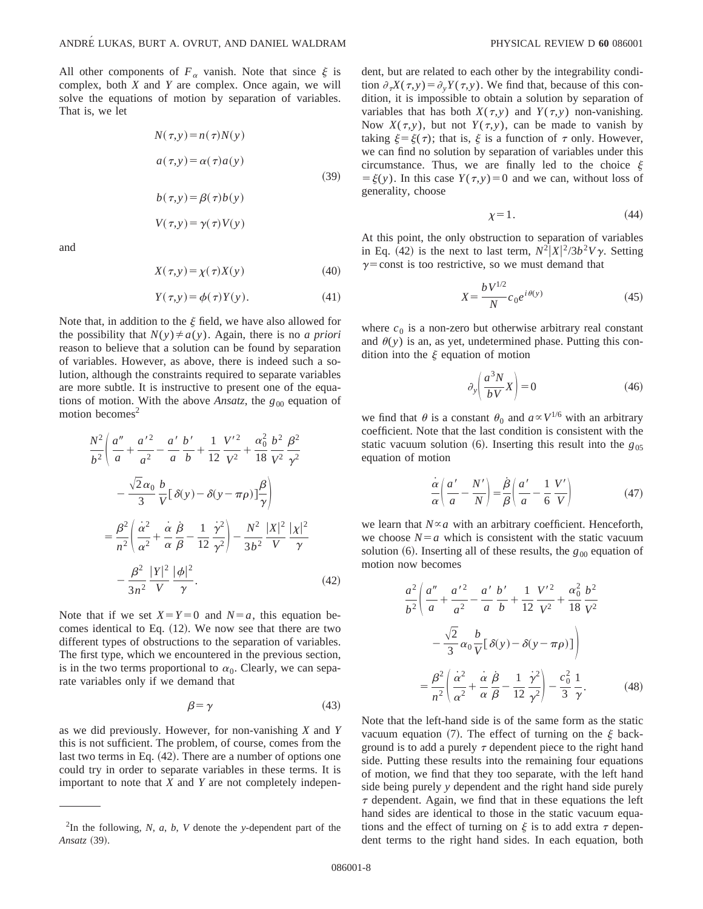All other components of  $F_\alpha$  vanish. Note that since  $\xi$  is complex, both *X* and *Y* are complex. Once again, we will solve the equations of motion by separation of variables. That is, we let

$$
N(\tau, y) = n(\tau)N(y)
$$
  
\n
$$
a(\tau, y) = \alpha(\tau)a(y)
$$
  
\n
$$
b(\tau, y) = \beta(\tau)b(y)
$$
  
\n
$$
V(\tau, y) = \gamma(\tau)V(y)
$$
\n(39)

and

$$
X(\tau, y) = \chi(\tau)X(y) \tag{40}
$$

$$
Y(\tau, y) = \phi(\tau) Y(y). \tag{41}
$$

Note that, in addition to the  $\xi$  field, we have also allowed for the possibility that  $N(y) \neq a(y)$ . Again, there is no *a priori* reason to believe that a solution can be found by separation of variables. However, as above, there is indeed such a solution, although the constraints required to separate variables are more subtle. It is instructive to present one of the equations of motion. With the above *Ansatz*, the  $g_{00}$  equation of motion becomes $2$ 

$$
\frac{N^2}{b^2} \left( \frac{a''}{a} + \frac{a'^2}{a^2} - \frac{a'}{a} \frac{b'}{b} + \frac{1}{12} \frac{V'^2}{V^2} + \frac{\alpha_0^2}{18} \frac{b^2}{V^2} \frac{\beta^2}{\gamma^2} - \frac{\sqrt{2} \alpha_0}{3} \frac{b}{V} [\delta(y) - \delta(y - \pi \rho)] \frac{\beta}{\gamma} \right)
$$
  

$$
= \frac{\beta^2}{n^2} \left( \frac{\dot{\alpha}^2}{\alpha^2} + \frac{\dot{\alpha}}{\alpha} \frac{\beta}{\beta} - \frac{1}{12} \frac{\dot{\gamma}^2}{\gamma^2} \right) - \frac{N^2}{3b^2} \frac{|X|^2}{V} \frac{|X|^2}{\gamma}
$$
  

$$
- \frac{\beta^2}{3n^2} \frac{|Y|^2}{V} \frac{|\phi|^2}{\gamma} .
$$
 (42)

Note that if we set  $X = Y = 0$  and  $N = a$ , this equation becomes identical to Eq.  $(12)$ . We now see that there are two different types of obstructions to the separation of variables. The first type, which we encountered in the previous section, is in the two terms proportional to  $\alpha_0$ . Clearly, we can separate variables only if we demand that

$$
\beta = \gamma \tag{43}
$$

as we did previously. However, for non-vanishing *X* and *Y* this is not sufficient. The problem, of course, comes from the last two terms in Eq.  $(42)$ . There are a number of options one could try in order to separate variables in these terms. It is important to note that *X* and *Y* are not completely independent, but are related to each other by the integrability condition  $\partial_{\tau}X(\tau,y)=\partial_{y}Y(\tau,y)$ . We find that, because of this condition, it is impossible to obtain a solution by separation of variables that has both  $X(\tau, y)$  and  $Y(\tau, y)$  non-vanishing. Now  $X(\tau, y)$ , but not  $Y(\tau, y)$ , can be made to vanish by taking  $\xi = \xi(\tau)$ ; that is,  $\xi$  is a function of  $\tau$  only. However, we can find no solution by separation of variables under this circumstance. Thus, we are finally led to the choice  $\xi$  $= \xi(y)$ . In this case *Y*( $\tau$ ,*y*)=0 and we can, without loss of generality, choose

$$
\chi = 1. \tag{44}
$$

At this point, the only obstruction to separation of variables in Eq. (42) is the next to last term,  $N^2 |X|^2 / 3b^2 V \gamma$ . Setting  $\gamma$ = const is too restrictive, so we must demand that

$$
X = \frac{b V^{1/2}}{N} c_0 e^{i \theta(y)} \tag{45}
$$

where  $c_0$  is a non-zero but otherwise arbitrary real constant and  $\theta(y)$  is an, as yet, undetermined phase. Putting this condition into the  $\xi$  equation of motion

$$
\partial_{y} \left( \frac{a^{3} N}{b V} X \right) = 0 \tag{46}
$$

we find that  $\theta$  is a constant  $\theta_0$  and  $a \propto V^{1/6}$  with an arbitrary coefficient. Note that the last condition is consistent with the static vacuum solution  $(6)$ . Inserting this result into the  $g_{05}$ equation of motion

$$
\frac{\dot{\alpha}}{\alpha} \left( \frac{a'}{a} - \frac{N'}{N} \right) = \frac{\dot{\beta}}{\beta} \left( \frac{a'}{a} - \frac{1}{6} \frac{V'}{V} \right)
$$
(47)

we learn that  $N \propto a$  with an arbitrary coefficient. Henceforth, we choose  $N=a$  which is consistent with the static vacuum solution  $(6)$ . Inserting all of these results, the  $g_{00}$  equation of motion now becomes

$$
\frac{a^2}{b^2} \left( \frac{a''}{a} + \frac{{a'}^2}{a^2} - \frac{a'}{a} \frac{b'}{b} + \frac{1}{12} \frac{V'^2}{V^2} + \frac{\alpha_0^2}{18} \frac{b^2}{V^2} - \frac{\sqrt{2}}{3} \alpha_0 \frac{b}{V} [\delta(y) - \delta(y - \pi \rho)] \right)
$$

$$
= \frac{\beta^2}{n^2} \left( \frac{\dot{\alpha}^2}{\alpha^2} + \frac{\dot{\alpha}}{\alpha} \frac{\dot{\beta}}{\beta} - \frac{1}{12} \frac{\dot{\gamma}^2}{\gamma^2} \right) - \frac{c_0^2}{3} \frac{1}{\gamma}.
$$
(48)

Note that the left-hand side is of the same form as the static vacuum equation (7). The effect of turning on the  $\xi$  background is to add a purely  $\tau$  dependent piece to the right hand side. Putting these results into the remaining four equations of motion, we find that they too separate, with the left hand side being purely *y* dependent and the right hand side purely  $\tau$  dependent. Again, we find that in these equations the left hand sides are identical to those in the static vacuum equations and the effect of turning on  $\xi$  is to add extra  $\tau$  dependent terms to the right hand sides. In each equation, both

<sup>2</sup> In the following, *N*, *a*, *b*, *V* denote the *y*-dependent part of the *Ansatz* (39).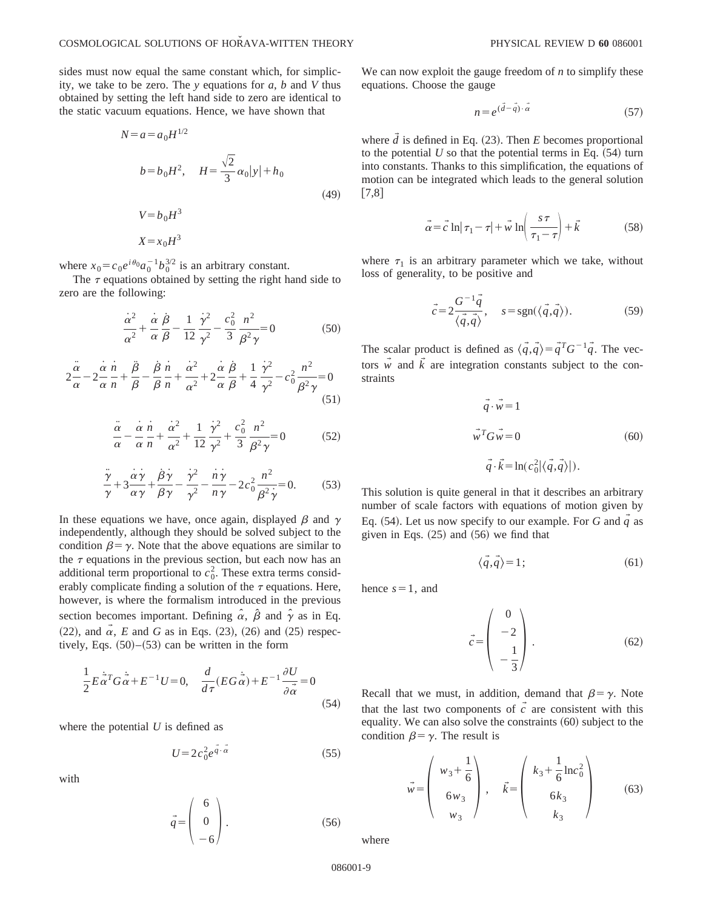sides must now equal the same constant which, for simplicity, we take to be zero. The *y* equations for *a*, *b* and *V* thus obtained by setting the left hand side to zero are identical to the static vacuum equations. Hence, we have shown that

$$
N = a = a_0 H^{1/2}
$$
  
\n
$$
b = b_0 H^2, \quad H = \frac{\sqrt{2}}{3} \alpha_0 |y| + h_0
$$
  
\n
$$
V = b_0 H^3
$$
  
\n
$$
X = x_0 H^3
$$
\n(49)

where  $x_0 = c_0 e^{i\theta_0} a_0^{-1} b_0^{3/2}$  is an arbitrary constant.

The  $\tau$  equations obtained by setting the right hand side to zero are the following:

$$
\frac{\dot{\alpha}^2}{\alpha^2} + \frac{\dot{\alpha}}{\alpha} \frac{\dot{\beta}}{\beta} - \frac{1}{12} \frac{\dot{\gamma}^2}{\gamma^2} - \frac{c_0^2}{3} \frac{n^2}{\beta^2 \gamma} = 0 \tag{50}
$$

$$
2\frac{\ddot{\alpha}}{\alpha} - 2\frac{\dot{\alpha}}{\alpha}\frac{\dot{n}}{n} + \frac{\ddot{\beta}}{\beta} - \frac{\dot{\beta}}{\beta}\frac{\dot{n}}{n} + \frac{\dot{\alpha}^2}{\alpha^2} + 2\frac{\dot{\alpha}}{\alpha}\frac{\dot{\beta}}{\beta} + \frac{1}{4}\frac{\dot{\gamma}^2}{\gamma^2} - c_0^2\frac{n^2}{\beta^2\gamma} = 0
$$
\n(51)

$$
\frac{\ddot{\alpha}}{\alpha} - \frac{\dot{\alpha}}{\alpha} \frac{\dot{n}}{n} + \frac{\dot{\alpha}^2}{\alpha^2} + \frac{1}{12} \frac{\dot{\gamma}^2}{\gamma^2} + \frac{c_0^2}{3} \frac{n^2}{\beta^2 \gamma} = 0 \tag{52}
$$

$$
\frac{\ddot{\gamma}}{\gamma} + 3\frac{\dot{\alpha}\dot{\gamma}}{\alpha\gamma} + \frac{\beta\dot{\gamma}}{\beta\gamma} - \frac{\dot{\gamma}^2}{\gamma^2} - \frac{\dot{n}\dot{\gamma}}{n\gamma} - 2c_0^2 \frac{n^2}{\beta^2 \dot{\gamma}} = 0.
$$
 (53)

In these equations we have, once again, displayed  $\beta$  and  $\gamma$ independently, although they should be solved subject to the condition  $\beta = \gamma$ . Note that the above equations are similar to the  $\tau$  equations in the previous section, but each now has an additional term proportional to  $c_0^2$ . These extra terms considerably complicate finding a solution of the  $\tau$  equations. Here, however, is where the formalism introduced in the previous section becomes important. Defining  $\hat{\alpha}$ ,  $\hat{\beta}$  and  $\hat{\gamma}$  as in Eq.  $(22)$ , and  $\vec{\alpha}$ , *E* and *G* as in Eqs.  $(23)$ ,  $(26)$  and  $(25)$  respectively, Eqs.  $(50)$ – $(53)$  can be written in the form

$$
\frac{1}{2}E\dot{\vec{\alpha}}^T G \dot{\vec{\alpha}} + E^{-1} U = 0, \quad \frac{d}{d\tau} (EG\dot{\vec{\alpha}}) + E^{-1} \frac{\partial U}{\partial \dot{\vec{\alpha}}} = 0
$$
\n(54)

where the potential *U* is defined as

$$
U = 2c_0^2 e^{q \cdot \alpha} \tag{55}
$$

with

$$
\vec{q} = \begin{pmatrix} 6 \\ 0 \\ -6 \end{pmatrix} . \tag{56}
$$

We can now exploit the gauge freedom of *n* to simplify these equations. Choose the gauge

$$
n = e^{(\tilde{d} - \tilde{q}) \cdot \tilde{\alpha}} \tag{57}
$$

where  $\overline{d}$  is defined in Eq. (23). Then *E* becomes proportional to the potential  $U$  so that the potential terms in Eq.  $(54)$  turn into constants. Thanks to this simplification, the equations of motion can be integrated which leads to the general solution  $\lfloor 7,8 \rfloor$ 

$$
\vec{\alpha} = \vec{c} \ln|\tau_1 - \tau| + \vec{w} \ln\left(\frac{s\tau}{\tau_1 - \tau}\right) + \vec{k} \tag{58}
$$

where  $\tau_1$  is an arbitrary parameter which we take, without loss of generality, to be positive and

$$
\vec{c} = 2 \frac{G^{-1} \vec{q}}{\langle \vec{q}, \vec{q} \rangle}, \quad s = \text{sgn}(\langle \vec{q}, \vec{q} \rangle). \tag{59}
$$

The scalar product is defined as  $\langle \vec{q}, \vec{q} \rangle = \vec{q}^T G^{-1} \vec{q}$ . The vectors  $\vec{w}$  and  $\vec{k}$  are integration constants subject to the constraints

$$
\vec{q} \cdot \vec{w} = 1
$$
  
\n
$$
\vec{w}^T G \vec{w} = 0
$$
 (60)  
\n
$$
\vec{q} \cdot \vec{k} = \ln(c_0^2 | \langle \vec{q}, \vec{q} \rangle |).
$$

This solution is quite general in that it describes an arbitrary number of scale factors with equations of motion given by Eq. (54). Let us now specify to our example. For *G* and  $\vec{q}$  as given in Eqs.  $(25)$  and  $(56)$  we find that

$$
\langle \vec{q}, \vec{q} \rangle = 1; \tag{61}
$$

hence  $s=1$ , and

$$
\vec{c} = \begin{pmatrix} 0 \\ -2 \\ -\frac{1}{3} \end{pmatrix} . \tag{62}
$$

Recall that we must, in addition, demand that  $\beta = \gamma$ . Note that the last two components of  $\vec{c}$  are consistent with this equality. We can also solve the constraints  $(60)$  subject to the condition  $\beta = \gamma$ . The result is

$$
\vec{w} = \begin{pmatrix} w_3 + \frac{1}{6} \\ 6w_3 \\ w_3 \end{pmatrix}, \quad \vec{k} = \begin{pmatrix} k_3 + \frac{1}{6}\ln c_0^2 \\ 6k_3 \\ k_3 \end{pmatrix}
$$
(63)

where

086001-9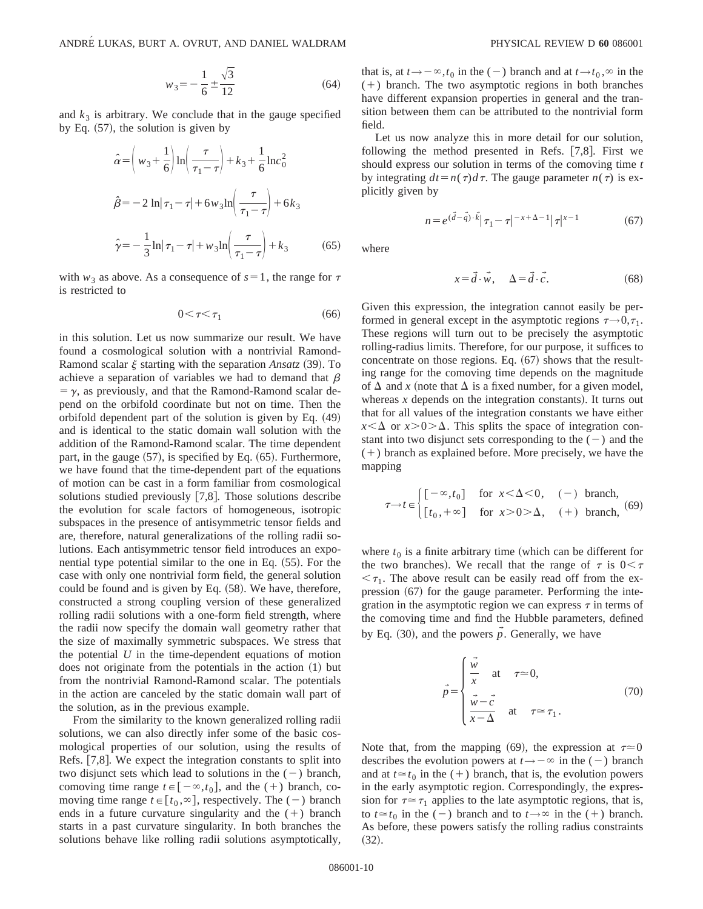$$
w_3 = -\frac{1}{6} \pm \frac{\sqrt{3}}{12} \tag{64}
$$

and  $k_3$  is arbitrary. We conclude that in the gauge specified by Eq.  $(57)$ , the solution is given by

$$
\hat{\alpha} = \left( w_3 + \frac{1}{6} \right) \ln \left( \frac{\tau}{\tau_1 - \tau} \right) + k_3 + \frac{1}{6} \ln c_0^2
$$
  

$$
\hat{\beta} = -2 \ln |\tau_1 - \tau| + 6w_3 \ln \left( \frac{\tau}{\tau_1 - \tau} \right) + 6k_3
$$
  

$$
\hat{\gamma} = -\frac{1}{3} \ln |\tau_1 - \tau| + w_3 \ln \left( \frac{\tau}{\tau_1 - \tau} \right) + k_3 \tag{65}
$$

with  $w_3$  as above. As a consequence of  $s=1$ , the range for  $\tau$ is restricted to

$$
0 < \tau < \tau_1 \tag{66}
$$

in this solution. Let us now summarize our result. We have found a cosmological solution with a nontrivial Ramond-Ramond scalar  $\xi$  starting with the separation *Ansatz* (39). To achieve a separation of variables we had to demand that  $\beta$  $= \gamma$ , as previously, and that the Ramond-Ramond scalar depend on the orbifold coordinate but not on time. Then the orbifold dependent part of the solution is given by Eq.  $(49)$ and is identical to the static domain wall solution with the addition of the Ramond-Ramond scalar. The time dependent part, in the gauge  $(57)$ , is specified by Eq.  $(65)$ . Furthermore, we have found that the time-dependent part of the equations of motion can be cast in a form familiar from cosmological solutions studied previously  $[7,8]$ . Those solutions describe the evolution for scale factors of homogeneous, isotropic subspaces in the presence of antisymmetric tensor fields and are, therefore, natural generalizations of the rolling radii solutions. Each antisymmetric tensor field introduces an exponential type potential similar to the one in Eq.  $(55)$ . For the case with only one nontrivial form field, the general solution could be found and is given by Eq.  $(58)$ . We have, therefore, constructed a strong coupling version of these generalized rolling radii solutions with a one-form field strength, where the radii now specify the domain wall geometry rather that the size of maximally symmetric subspaces. We stress that the potential *U* in the time-dependent equations of motion does not originate from the potentials in the action  $(1)$  but from the nontrivial Ramond-Ramond scalar. The potentials in the action are canceled by the static domain wall part of the solution, as in the previous example.

From the similarity to the known generalized rolling radii solutions, we can also directly infer some of the basic cosmological properties of our solution, using the results of Refs.  $[7,8]$ . We expect the integration constants to split into two disjunct sets which lead to solutions in the  $(-)$  branch, comoving time range  $t \in [-\infty, t_0]$ , and the (+) branch, comoving time range  $t \in [t_0, \infty]$ , respectively. The (-) branch ends in a future curvature singularity and the  $(+)$  branch starts in a past curvature singularity. In both branches the solutions behave like rolling radii solutions asymptotically, that is, at  $t \rightarrow -\infty$ ,  $t_0$  in the (-) branch and at  $t \rightarrow t_0$ ,  $\infty$  in the  $(+)$  branch. The two asymptotic regions in both branches have different expansion properties in general and the transition between them can be attributed to the nontrivial form field.

Let us now analyze this in more detail for our solution, following the method presented in Refs.  $[7,8]$ . First we should express our solution in terms of the comoving time *t* by integrating  $dt = n(\tau) d\tau$ . The gauge parameter  $n(\tau)$  is explicitly given by

$$
n = e^{(\tilde{d} - \tilde{q}) \cdot \tilde{k}} |\tau_1 - \tau|^{-x + \Delta - 1} |\tau|^{x - 1}
$$
 (67)

where

$$
x = \vec{d} \cdot \vec{w}, \quad \Delta = \vec{d} \cdot \vec{c}.
$$
 (68)

Given this expression, the integration cannot easily be performed in general except in the asymptotic regions  $\tau \rightarrow 0, \tau_1$ . These regions will turn out to be precisely the asymptotic rolling-radius limits. Therefore, for our purpose, it suffices to concentrate on those regions. Eq.  $(67)$  shows that the resulting range for the comoving time depends on the magnitude of  $\Delta$  and *x* (note that  $\Delta$  is a fixed number, for a given model, whereas  $x$  depends on the integration constants). It turns out that for all values of the integration constants we have either  $x<\Delta$  or  $x>0>\Delta$ . This splits the space of integration constant into two disjunct sets corresponding to the  $(-)$  and the  $(+)$  branch as explained before. More precisely, we have the mapping

$$
\tau \rightarrow t \in \begin{cases} [-\infty, t_0] & \text{for } x < \Delta < 0, \quad (-) \text{ branch,} \\ [t_0, +\infty] & \text{for } x > 0 > \Delta, \quad (+) \text{ branch,} \end{cases} \tag{69}
$$

where  $t_0$  is a finite arbitrary time (which can be different for the two branches). We recall that the range of  $\tau$  is  $0<\tau$  $\langle \tau_1$ . The above result can be easily read off from the expression  $(67)$  for the gauge parameter. Performing the integration in the asymptotic region we can express  $\tau$  in terms of the comoving time and find the Hubble parameters, defined by Eq. (30), and the powers  $\overline{p}$ . Generally, we have

$$
\vec{p} = \begin{cases} \frac{\vec{w}}{x} & \text{at } \tau \approx 0, \\ \frac{\vec{w} - \vec{c}}{x - \Delta} & \text{at } \tau \approx \tau_1. \end{cases}
$$
(70)

Note that, from the mapping (69), the expression at  $\tau \approx 0$ describes the evolution powers at  $t \rightarrow -\infty$  in the (-) branch and at  $t \approx t_0$  in the (+) branch, that is, the evolution powers in the early asymptotic region. Correspondingly, the expression for  $\tau \approx \tau_1$  applies to the late asymptotic regions, that is, to  $t \approx t_0$  in the (-) branch and to  $t \rightarrow \infty$  in the (+) branch. As before, these powers satisfy the rolling radius constraints  $(32).$